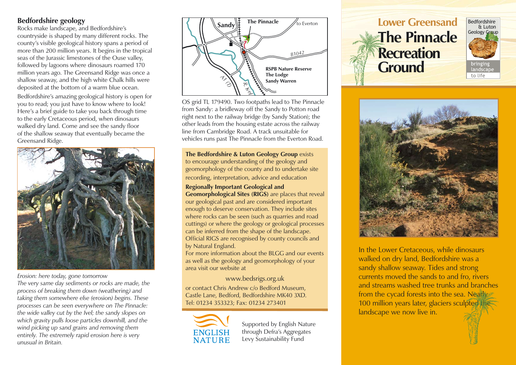## **Bedfordshire geology**

Rocks make landscape, and Bedfordshire's countryside is shaped by many different rocks. The county's visible geological history spans a period of more than 200 million years. It begins in the tropical seas of the Jurassic limestones of the Ouse valley, followed by lagoons where dinosaurs roamed 170 million years ago. The Greensand Ridge was once a shallow seaway, and the high white Chalk hills were deposited at the bottom of a warm blue ocean.

Bedfordshire's amazing geological history is open for you to read; you just have to know where to look! Here's a brief guide to take you back through time to the early Cretaceous period, when dinosaurs walked dry land. Come and see the sandy floor of the shallow seaway that eventually became the Greensand Ridge.



*Erosion: here today, gone tomorrow*

*The very same day sediments or rocks are made, the process of breaking them down (*weathering*) and taking them somewhere else (*erosion*) begins. These processes can be seen everywhere on The Pinnacle: the wide valley cut by the Ivel; the sandy slopes on which gravity pulls loose particles downhill, and the wind picking up sand grains and removing them entirely. The extremely rapid erosion here is very unusual in Britain.*



OS grid TL 179490. Two footpaths lead to The Pinnacle from Sandy: a bridleway off the Sandy to Potton road right next to the railway bridge (by Sandy Station); the other leads from the housing estate across the railway line from Cambridge Road. A track unsuitable for vehicles runs past The Pinnacle from the Everton Road.

**The Bedfordshire & Luton Geology Group** exists to encourage understanding of the geology and geomorphology of the county and to undertake site recording, interpretation, advice and education

**Regionally Important Geological and Geomorphological Sites (RIGS)** are places that reveal our geological past and are considered important enough to deserve conservation. They include sites where rocks can be seen (such as quarries and road cuttings) or where the geology or geological processes can be inferred from the shape of the landscape. Official RIGS are recognised by county councils and by Natural England.

For more information about the BLGG and our events as well as the geology and geomorphology of your area visit our website at

www.bedsrigs.org.uk

or contact Chris Andrew c/o Bedford Museum, Castle Lane, Bedford, Bedfordshire MK40 3XD. Tel: 01234 353323; Fax: 01234 273401



Supported by English Nature through Defra's Aggregates Levy Sustainability Fund

# **Lower Greensand The Pinnacle Recreation Ground**





In the Lower Cretaceous, while dinosaurs walked on dry land, Bedfordshire was a sandy shallow seaway. Tides and strong currents moved the sands to and fro, rivers and streams washed tree trunks and branches from the cycad forests into the sea. Nearly 100 million years later, glaciers sculpted the landscape we now live in.